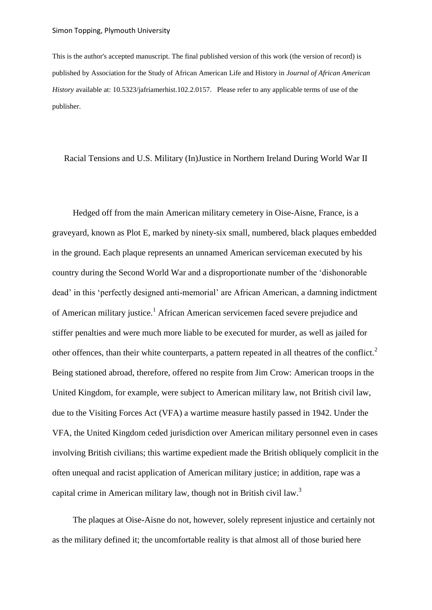This is the author's accepted manuscript. The final published version of this work (the version of record) is published by Association for the Study of African American Life and History in *Journal of African American History* available at: 10.5323/jafriamerhist.102.2.0157. Please refer to any applicable terms of use of the publisher.

Racial Tensions and U.S. Military (In)Justice in Northern Ireland During World War II

Hedged off from the main American military cemetery in Oise-Aisne, France, is a graveyard, known as Plot E, marked by ninety-six small, numbered, black plaques embedded in the ground. Each plaque represents an unnamed American serviceman executed by his country during the Second World War and a disproportionate number of the 'dishonorable dead' in this 'perfectly designed anti-memorial' are African American, a damning indictment of American military justice.<sup>1</sup> African American servicemen faced severe prejudice and stiffer penalties and were much more liable to be executed for murder, as well as jailed for other offences, than their white counterparts, a pattern repeated in all theatres of the conflict. $2$ Being stationed abroad, therefore, offered no respite from Jim Crow: American troops in the United Kingdom, for example, were subject to American military law, not British civil law, due to the Visiting Forces Act (VFA) a wartime measure hastily passed in 1942. Under the VFA, the United Kingdom ceded jurisdiction over American military personnel even in cases involving British civilians; this wartime expedient made the British obliquely complicit in the often unequal and racist application of American military justice; in addition, rape was a capital crime in American military law, though not in British civil law.<sup>3</sup>

The plaques at Oise-Aisne do not, however, solely represent injustice and certainly not as the military defined it; the uncomfortable reality is that almost all of those buried here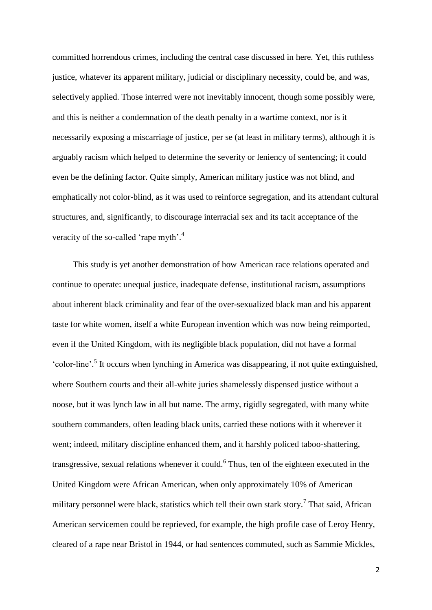committed horrendous crimes, including the central case discussed in here. Yet, this ruthless justice, whatever its apparent military, judicial or disciplinary necessity, could be, and was, selectively applied. Those interred were not inevitably innocent, though some possibly were, and this is neither a condemnation of the death penalty in a wartime context, nor is it necessarily exposing a miscarriage of justice, per se (at least in military terms), although it is arguably racism which helped to determine the severity or leniency of sentencing; it could even be the defining factor. Quite simply, American military justice was not blind, and emphatically not color-blind, as it was used to reinforce segregation, and its attendant cultural structures, and, significantly, to discourage interracial sex and its tacit acceptance of the veracity of the so-called 'rape myth'.<sup>4</sup>

This study is yet another demonstration of how American race relations operated and continue to operate: unequal justice, inadequate defense, institutional racism, assumptions about inherent black criminality and fear of the over-sexualized black man and his apparent taste for white women, itself a white European invention which was now being reimported, even if the United Kingdom, with its negligible black population, did not have a formal 'color-line'. 5 It occurs when lynching in America was disappearing, if not quite extinguished, where Southern courts and their all-white juries shamelessly dispensed justice without a noose, but it was lynch law in all but name. The army, rigidly segregated, with many white southern commanders, often leading black units, carried these notions with it wherever it went; indeed, military discipline enhanced them, and it harshly policed taboo-shattering, transgressive, sexual relations whenever it could. 6 Thus, ten of the eighteen executed in the United Kingdom were African American, when only approximately 10% of American military personnel were black, statistics which tell their own stark story.<sup>7</sup> That said, African American servicemen could be reprieved, for example, the high profile case of Leroy Henry, cleared of a rape near Bristol in 1944, or had sentences commuted, such as Sammie Mickles,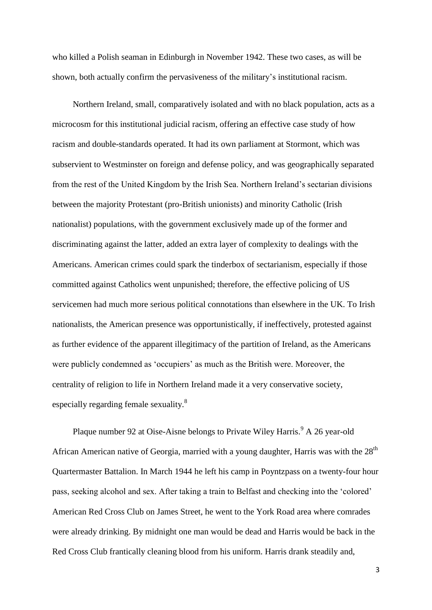who killed a Polish seaman in Edinburgh in November 1942. These two cases, as will be shown, both actually confirm the pervasiveness of the military's institutional racism.

Northern Ireland, small, comparatively isolated and with no black population, acts as a microcosm for this institutional judicial racism, offering an effective case study of how racism and double-standards operated. It had its own parliament at Stormont, which was subservient to Westminster on foreign and defense policy, and was geographically separated from the rest of the United Kingdom by the Irish Sea. Northern Ireland's sectarian divisions between the majority Protestant (pro-British unionists) and minority Catholic (Irish nationalist) populations, with the government exclusively made up of the former and discriminating against the latter, added an extra layer of complexity to dealings with the Americans. American crimes could spark the tinderbox of sectarianism, especially if those committed against Catholics went unpunished; therefore, the effective policing of US servicemen had much more serious political connotations than elsewhere in the UK. To Irish nationalists, the American presence was opportunistically, if ineffectively, protested against as further evidence of the apparent illegitimacy of the partition of Ireland, as the Americans were publicly condemned as 'occupiers' as much as the British were. Moreover, the centrality of religion to life in Northern Ireland made it a very conservative society, especially regarding female sexuality.<sup>8</sup>

Plaque number 92 at Oise-Aisne belongs to Private Wiley Harris.<sup>9</sup> A 26 year-old African American native of Georgia, married with a young daughter, Harris was with the  $28<sup>th</sup>$ Quartermaster Battalion. In March 1944 he left his camp in Poyntzpass on a twenty-four hour pass, seeking alcohol and sex. After taking a train to Belfast and checking into the 'colored' American Red Cross Club on James Street, he went to the York Road area where comrades were already drinking. By midnight one man would be dead and Harris would be back in the Red Cross Club frantically cleaning blood from his uniform. Harris drank steadily and,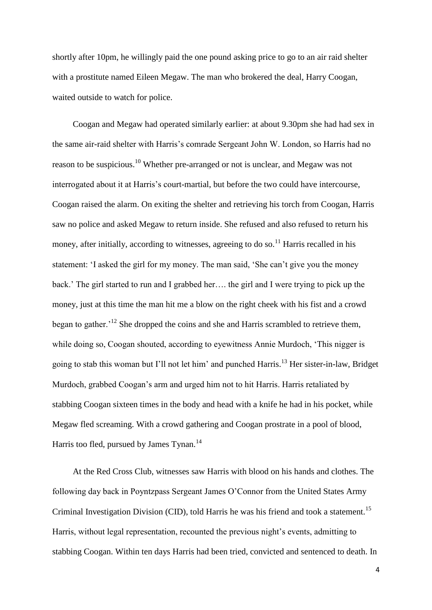shortly after 10pm, he willingly paid the one pound asking price to go to an air raid shelter with a prostitute named Eileen Megaw. The man who brokered the deal, Harry Coogan, waited outside to watch for police.

Coogan and Megaw had operated similarly earlier: at about 9.30pm she had had sex in the same air-raid shelter with Harris's comrade Sergeant John W. London, so Harris had no reason to be suspicious.<sup>10</sup> Whether pre-arranged or not is unclear, and Megaw was not interrogated about it at Harris's court-martial, but before the two could have intercourse, Coogan raised the alarm. On exiting the shelter and retrieving his torch from Coogan, Harris saw no police and asked Megaw to return inside. She refused and also refused to return his money, after initially, according to witnesses, agreeing to do so.<sup>11</sup> Harris recalled in his statement: 'I asked the girl for my money. The man said, 'She can't give you the money back.' The girl started to run and I grabbed her…. the girl and I were trying to pick up the money, just at this time the man hit me a blow on the right cheek with his fist and a crowd began to gather.<sup>'12</sup> She dropped the coins and she and Harris scrambled to retrieve them, while doing so, Coogan shouted, according to eyewitness Annie Murdoch, 'This nigger is going to stab this woman but I'll not let him' and punched Harris.<sup>13</sup> Her sister-in-law, Bridget Murdoch, grabbed Coogan's arm and urged him not to hit Harris. Harris retaliated by stabbing Coogan sixteen times in the body and head with a knife he had in his pocket, while Megaw fled screaming. With a crowd gathering and Coogan prostrate in a pool of blood, Harris too fled, pursued by James Tynan.<sup>14</sup>

At the Red Cross Club, witnesses saw Harris with blood on his hands and clothes. The following day back in Poyntzpass Sergeant James O'Connor from the United States Army Criminal Investigation Division (CID), told Harris he was his friend and took a statement.<sup>15</sup> Harris, without legal representation, recounted the previous night's events, admitting to stabbing Coogan. Within ten days Harris had been tried, convicted and sentenced to death. In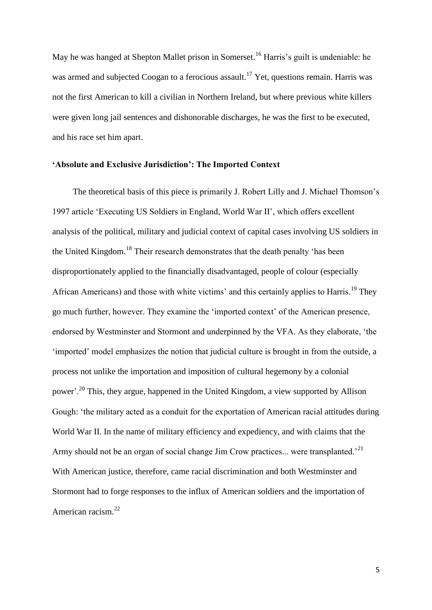May he was hanged at Shepton Mallet prison in Somerset.<sup>16</sup> Harris's guilt is undeniable: he was armed and subjected Coogan to a ferocious assault.<sup>17</sup> Yet, questions remain. Harris was not the first American to kill a civilian in Northern Ireland, but where previous white killers were given long jail sentences and dishonorable discharges, he was the first to be executed, and his race set him apart.

## **'Absolute and Exclusive Jurisdiction': The Imported Context**

The theoretical basis of this piece is primarily J. Robert Lilly and J. Michael Thomson's 1997 article 'Executing US Soldiers in England, World War II', which offers excellent analysis of the political, military and judicial context of capital cases involving US soldiers in the United Kingdom.<sup>18</sup> Their research demonstrates that the death penalty 'has been disproportionately applied to the financially disadvantaged, people of colour (especially African Americans) and those with white victims' and this certainly applies to Harris.<sup>19</sup> They go much further, however. They examine the 'imported context' of the American presence, endorsed by Westminster and Stormont and underpinned by the VFA. As they elaborate, 'the 'imported' model emphasizes the notion that judicial culture is brought in from the outside, a process not unlike the importation and imposition of cultural hegemony by a colonial power'.<sup>20</sup> This, they argue, happened in the United Kingdom, a view supported by Allison Gough: 'the military acted as a conduit for the exportation of American racial attitudes during World War II. In the name of military efficiency and expediency, and with claims that the Army should not be an organ of social change Jim Crow practices... were transplanted.<sup>21</sup> With American justice, therefore, came racial discrimination and both Westminster and Stormont had to forge responses to the influx of American soldiers and the importation of American racism.<sup>22</sup>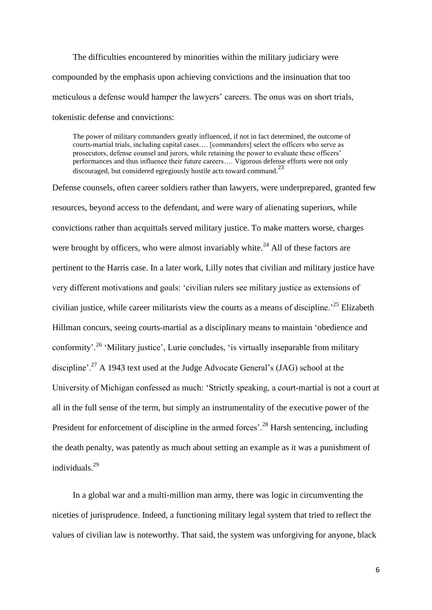The difficulties encountered by minorities within the military judiciary were compounded by the emphasis upon achieving convictions and the insinuation that too meticulous a defense would hamper the lawyers' careers. The onus was on short trials, tokenistic defense and convictions:

The power of military commanders greatly influenced, if not in fact determined, the outcome of courts-martial trials, including capital cases…. [commanders] select the officers who serve as prosecutors, defense counsel and jurors, while retaining the power to evaluate these officers' performances and thus influence their future careers…. Vigorous defense efforts were not only discouraged, but considered egregiously hostile acts toward command.<sup>23</sup>

Defense counsels, often career soldiers rather than lawyers, were underprepared, granted few resources, beyond access to the defendant, and were wary of alienating superiors, while convictions rather than acquittals served military justice. To make matters worse, charges were brought by officers, who were almost invariably white.<sup>24</sup> All of these factors are pertinent to the Harris case. In a later work, Lilly notes that civilian and military justice have very different motivations and goals: 'civilian rulers see military justice as extensions of civilian justice, while career militarists view the courts as a means of discipline.<sup>25</sup> Elizabeth Hillman concurs, seeing courts-martial as a disciplinary means to maintain 'obedience and conformity'.<sup>26</sup> 'Military justice', Lurie concludes, 'is virtually inseparable from military discipline'.<sup>27</sup> A 1943 text used at the Judge Advocate General's (JAG) school at the University of Michigan confessed as much: 'Strictly speaking, a court-martial is not a court at all in the full sense of the term, but simply an instrumentality of the executive power of the President for enforcement of discipline in the armed forces'.<sup>28</sup> Harsh sentencing, including the death penalty, was patently as much about setting an example as it was a punishment of individuals.<sup>29</sup>

In a global war and a multi-million man army, there was logic in circumventing the niceties of jurisprudence. Indeed, a functioning military legal system that tried to reflect the values of civilian law is noteworthy. That said, the system was unforgiving for anyone, black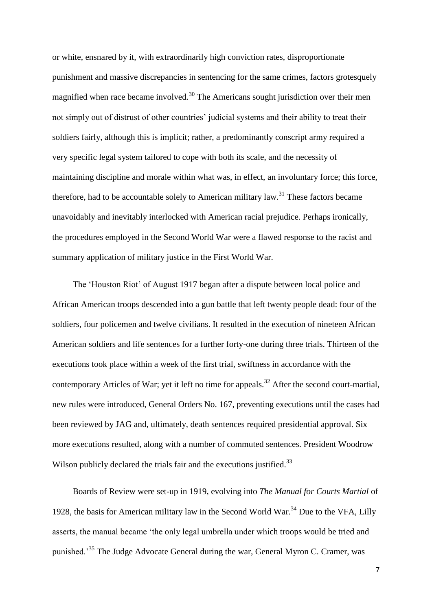or white, ensnared by it, with extraordinarily high conviction rates, disproportionate punishment and massive discrepancies in sentencing for the same crimes, factors grotesquely magnified when race became involved.<sup>30</sup> The Americans sought jurisdiction over their men not simply out of distrust of other countries' judicial systems and their ability to treat their soldiers fairly, although this is implicit; rather, a predominantly conscript army required a very specific legal system tailored to cope with both its scale, and the necessity of maintaining discipline and morale within what was, in effect, an involuntary force; this force, therefore, had to be accountable solely to American military law.<sup>31</sup> These factors became unavoidably and inevitably interlocked with American racial prejudice. Perhaps ironically, the procedures employed in the Second World War were a flawed response to the racist and summary application of military justice in the First World War.

The 'Houston Riot' of August 1917 began after a dispute between local police and African American troops descended into a gun battle that left twenty people dead: four of the soldiers, four policemen and twelve civilians. It resulted in the execution of nineteen African American soldiers and life sentences for a further forty-one during three trials. Thirteen of the executions took place within a week of the first trial, swiftness in accordance with the contemporary Articles of War; yet it left no time for appeals.<sup>32</sup> After the second court-martial, new rules were introduced, General Orders No. 167, preventing executions until the cases had been reviewed by JAG and, ultimately, death sentences required presidential approval. Six more executions resulted, along with a number of commuted sentences. President Woodrow Wilson publicly declared the trials fair and the executions justified.<sup>33</sup>

Boards of Review were set-up in 1919, evolving into *The Manual for Courts Martial* of 1928, the basis for American military law in the Second World War.<sup>34</sup> Due to the VFA, Lilly asserts, the manual became 'the only legal umbrella under which troops would be tried and punished.'<sup>35</sup> The Judge Advocate General during the war, General Myron C. Cramer, was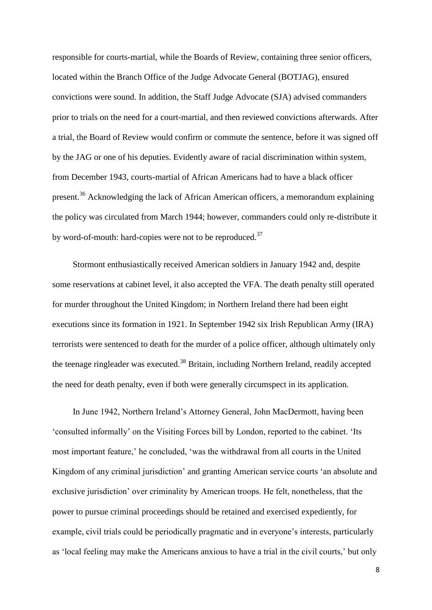responsible for courts-martial, while the Boards of Review, containing three senior officers, located within the Branch Office of the Judge Advocate General (BOTJAG), ensured convictions were sound. In addition, the Staff Judge Advocate (SJA) advised commanders prior to trials on the need for a court-martial, and then reviewed convictions afterwards. After a trial, the Board of Review would confirm or commute the sentence, before it was signed off by the JAG or one of his deputies. Evidently aware of racial discrimination within system, from December 1943, courts-martial of African Americans had to have a black officer present.<sup>36</sup> Acknowledging the lack of African American officers, a memorandum explaining the policy was circulated from March 1944; however, commanders could only re-distribute it by word-of-mouth: hard-copies were not to be reproduced.<sup>37</sup>

Stormont enthusiastically received American soldiers in January 1942 and, despite some reservations at cabinet level, it also accepted the VFA. The death penalty still operated for murder throughout the United Kingdom; in Northern Ireland there had been eight executions since its formation in 1921. In September 1942 six Irish Republican Army (IRA) terrorists were sentenced to death for the murder of a police officer, although ultimately only the teenage ringleader was executed.<sup>38</sup> Britain, including Northern Ireland, readily accepted the need for death penalty, even if both were generally circumspect in its application.

In June 1942, Northern Ireland's Attorney General, John MacDermott, having been 'consulted informally' on the Visiting Forces bill by London, reported to the cabinet. 'Its most important feature,' he concluded, 'was the withdrawal from all courts in the United Kingdom of any criminal jurisdiction' and granting American service courts 'an absolute and exclusive jurisdiction' over criminality by American troops. He felt, nonetheless, that the power to pursue criminal proceedings should be retained and exercised expediently, for example, civil trials could be periodically pragmatic and in everyone's interests, particularly as 'local feeling may make the Americans anxious to have a trial in the civil courts,' but only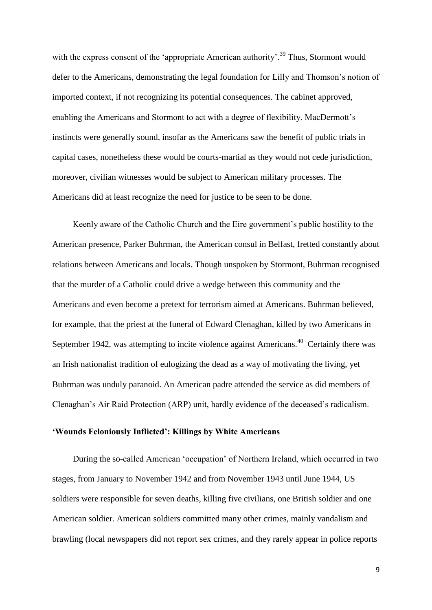with the express consent of the 'appropriate American authority'.<sup>39</sup> Thus, Stormont would defer to the Americans, demonstrating the legal foundation for Lilly and Thomson's notion of imported context, if not recognizing its potential consequences. The cabinet approved, enabling the Americans and Stormont to act with a degree of flexibility. MacDermott's instincts were generally sound, insofar as the Americans saw the benefit of public trials in capital cases, nonetheless these would be courts-martial as they would not cede jurisdiction, moreover, civilian witnesses would be subject to American military processes. The Americans did at least recognize the need for justice to be seen to be done.

Keenly aware of the Catholic Church and the Eire government's public hostility to the American presence, Parker Buhrman, the American consul in Belfast, fretted constantly about relations between Americans and locals. Though unspoken by Stormont, Buhrman recognised that the murder of a Catholic could drive a wedge between this community and the Americans and even become a pretext for terrorism aimed at Americans. Buhrman believed, for example, that the priest at the funeral of Edward Clenaghan, killed by two Americans in September 1942, was attempting to incite violence against Americans.<sup>40</sup> Certainly there was an Irish nationalist tradition of eulogizing the dead as a way of motivating the living, yet Buhrman was unduly paranoid. An American padre attended the service as did members of Clenaghan's Air Raid Protection (ARP) unit, hardly evidence of the deceased's radicalism.

### **'Wounds Feloniously Inflicted': Killings by White Americans**

During the so-called American 'occupation' of Northern Ireland, which occurred in two stages, from January to November 1942 and from November 1943 until June 1944, US soldiers were responsible for seven deaths, killing five civilians, one British soldier and one American soldier. American soldiers committed many other crimes, mainly vandalism and brawling (local newspapers did not report sex crimes, and they rarely appear in police reports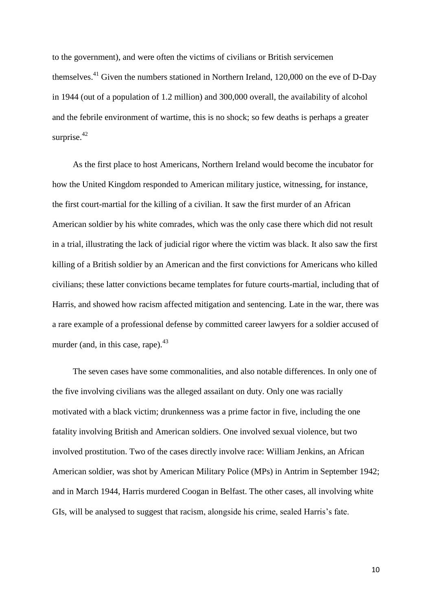to the government), and were often the victims of civilians or British servicemen themselves.<sup>41</sup> Given the numbers stationed in Northern Ireland, 120,000 on the eve of D-Day in 1944 (out of a population of 1.2 million) and 300,000 overall, the availability of alcohol and the febrile environment of wartime, this is no shock; so few deaths is perhaps a greater surprise. $42$ 

As the first place to host Americans, Northern Ireland would become the incubator for how the United Kingdom responded to American military justice, witnessing, for instance, the first court-martial for the killing of a civilian. It saw the first murder of an African American soldier by his white comrades, which was the only case there which did not result in a trial, illustrating the lack of judicial rigor where the victim was black. It also saw the first killing of a British soldier by an American and the first convictions for Americans who killed civilians; these latter convictions became templates for future courts-martial, including that of Harris, and showed how racism affected mitigation and sentencing. Late in the war, there was a rare example of a professional defense by committed career lawyers for a soldier accused of murder (and, in this case, rape). $43$ 

The seven cases have some commonalities, and also notable differences. In only one of the five involving civilians was the alleged assailant on duty. Only one was racially motivated with a black victim; drunkenness was a prime factor in five, including the one fatality involving British and American soldiers. One involved sexual violence, but two involved prostitution. Two of the cases directly involve race: William Jenkins, an African American soldier, was shot by American Military Police (MPs) in Antrim in September 1942; and in March 1944, Harris murdered Coogan in Belfast. The other cases, all involving white GIs, will be analysed to suggest that racism, alongside his crime, sealed Harris's fate.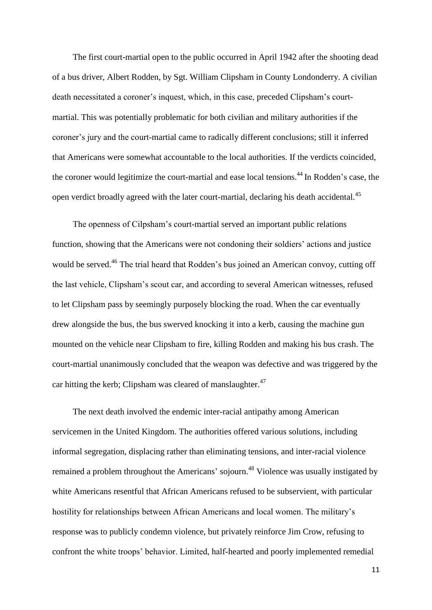The first court-martial open to the public occurred in April 1942 after the shooting dead of a bus driver, Albert Rodden, by Sgt. William Clipsham in County Londonderry. A civilian death necessitated a coroner's inquest, which, in this case, preceded Clipsham's courtmartial. This was potentially problematic for both civilian and military authorities if the coroner's jury and the court-martial came to radically different conclusions; still it inferred that Americans were somewhat accountable to the local authorities. If the verdicts coincided, the coroner would legitimize the court-martial and ease local tensions.<sup>44</sup> In Rodden's case, the open verdict broadly agreed with the later court-martial, declaring his death accidental.<sup>45</sup>

The openness of Cilpsham's court-martial served an important public relations function, showing that the Americans were not condoning their soldiers' actions and justice would be served.<sup>46</sup> The trial heard that Rodden's bus joined an American convoy, cutting off the last vehicle, Clipsham's scout car, and according to several American witnesses, refused to let Clipsham pass by seemingly purposely blocking the road. When the car eventually drew alongside the bus, the bus swerved knocking it into a kerb, causing the machine gun mounted on the vehicle near Clipsham to fire, killing Rodden and making his bus crash. The court-martial unanimously concluded that the weapon was defective and was triggered by the car hitting the kerb; Clipsham was cleared of manslaughter. $47$ 

The next death involved the endemic inter-racial antipathy among American servicemen in the United Kingdom. The authorities offered various solutions, including informal segregation, displacing rather than eliminating tensions, and inter-racial violence remained a problem throughout the Americans' sojourn.<sup>48</sup> Violence was usually instigated by white Americans resentful that African Americans refused to be subservient, with particular hostility for relationships between African Americans and local women. The military's response was to publicly condemn violence, but privately reinforce Jim Crow, refusing to confront the white troops' behavior. Limited, half-hearted and poorly implemented remedial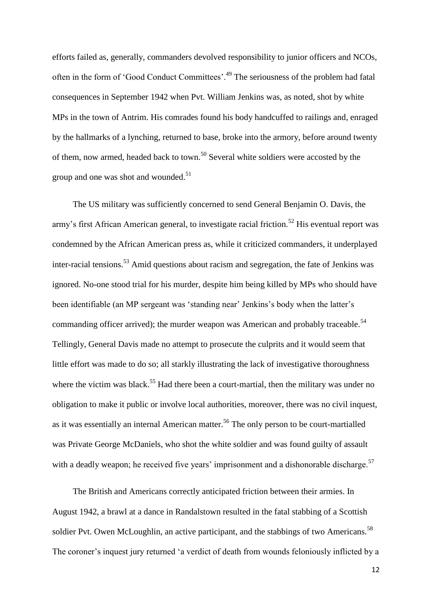efforts failed as, generally, commanders devolved responsibility to junior officers and NCOs, often in the form of 'Good Conduct Committees'.<sup>49</sup> The seriousness of the problem had fatal consequences in September 1942 when Pvt. William Jenkins was, as noted, shot by white MPs in the town of Antrim. His comrades found his body handcuffed to railings and, enraged by the hallmarks of a lynching, returned to base, broke into the armory, before around twenty of them, now armed, headed back to town.<sup>50</sup> Several white soldiers were accosted by the group and one was shot and wounded.<sup>51</sup>

The US military was sufficiently concerned to send General Benjamin O. Davis, the army's first African American general, to investigate racial friction.<sup>52</sup> His eventual report was condemned by the African American press as, while it criticized commanders, it underplayed inter-racial tensions.<sup>53</sup> Amid questions about racism and segregation, the fate of Jenkins was ignored. No-one stood trial for his murder, despite him being killed by MPs who should have been identifiable (an MP sergeant was 'standing near' Jenkins's body when the latter's commanding officer arrived); the murder weapon was American and probably traceable.<sup>54</sup> Tellingly, General Davis made no attempt to prosecute the culprits and it would seem that little effort was made to do so; all starkly illustrating the lack of investigative thoroughness where the victim was black.<sup>55</sup> Had there been a court-martial, then the military was under no obligation to make it public or involve local authorities, moreover, there was no civil inquest, as it was essentially an internal American matter.<sup>56</sup> The only person to be court-martialled was Private George McDaniels, who shot the white soldier and was found guilty of assault with a deadly weapon; he received five years' imprisonment and a dishonorable discharge.<sup>57</sup>

The British and Americans correctly anticipated friction between their armies. In August 1942, a brawl at a dance in Randalstown resulted in the fatal stabbing of a Scottish soldier Pvt. Owen McLoughlin, an active participant, and the stabbings of two Americans.<sup>58</sup> The coroner's inquest jury returned 'a verdict of death from wounds feloniously inflicted by a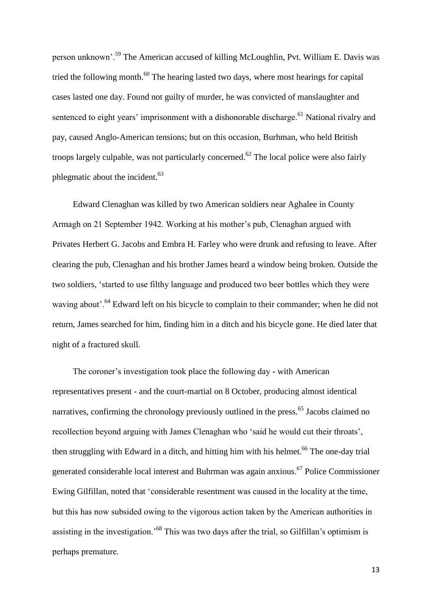person unknown'.<sup>59</sup> The American accused of killing McLoughlin, Pvt. William E. Davis was tried the following month.<sup>60</sup> The hearing lasted two days, where most hearings for capital cases lasted one day. Found not guilty of murder, he was convicted of manslaughter and sentenced to eight years' imprisonment with a dishonorable discharge.<sup>61</sup> National rivalry and pay, caused Anglo-American tensions; but on this occasion, Burhman, who held British troops largely culpable, was not particularly concerned.<sup>62</sup> The local police were also fairly phlegmatic about the incident.<sup>63</sup>

Edward Clenaghan was killed by two American soldiers near Aghalee in County Armagh on 21 September 1942. Working at his mother's pub, Clenaghan argued with Privates Herbert G. Jacobs and Embra H. Farley who were drunk and refusing to leave. After clearing the pub, Clenaghan and his brother James heard a window being broken. Outside the two soldiers, 'started to use filthy language and produced two beer bottles which they were waving about'.<sup>64</sup> Edward left on his bicycle to complain to their commander; when he did not return, James searched for him, finding him in a ditch and his bicycle gone. He died later that night of a fractured skull.

The coroner's investigation took place the following day - with American representatives present - and the court-martial on 8 October, producing almost identical narratives, confirming the chronology previously outlined in the press.<sup>65</sup> Jacobs claimed no recollection beyond arguing with James Clenaghan who 'said he would cut their throats', then struggling with Edward in a ditch, and hitting him with his helmet.<sup>66</sup> The one-day trial generated considerable local interest and Buhrman was again anxious. <sup>67</sup> Police Commissioner Ewing Gilfillan, noted that 'considerable resentment was caused in the locality at the time, but this has now subsided owing to the vigorous action taken by the American authorities in assisting in the investigation.'<sup>68</sup> This was two days after the trial, so Gilfillan's optimism is perhaps premature.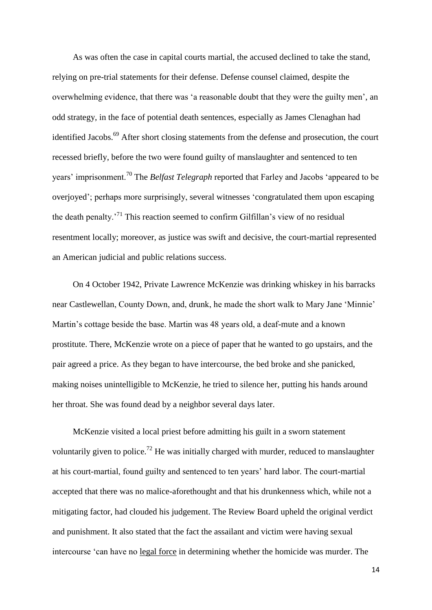As was often the case in capital courts martial, the accused declined to take the stand, relying on pre-trial statements for their defense. Defense counsel claimed, despite the overwhelming evidence, that there was 'a reasonable doubt that they were the guilty men', an odd strategy, in the face of potential death sentences, especially as James Clenaghan had identified Jacobs.<sup>69</sup> After short closing statements from the defense and prosecution, the court recessed briefly, before the two were found guilty of manslaughter and sentenced to ten years' imprisonment.<sup>70</sup> The *Belfast Telegraph* reported that Farley and Jacobs 'appeared to be overjoyed'; perhaps more surprisingly, several witnesses 'congratulated them upon escaping the death penalty.<sup>71</sup> This reaction seemed to confirm Gilfillan's view of no residual resentment locally; moreover, as justice was swift and decisive, the court-martial represented an American judicial and public relations success.

On 4 October 1942, Private Lawrence McKenzie was drinking whiskey in his barracks near Castlewellan, County Down, and, drunk, he made the short walk to Mary Jane 'Minnie' Martin's cottage beside the base. Martin was 48 years old, a deaf-mute and a known prostitute. There, McKenzie wrote on a piece of paper that he wanted to go upstairs, and the pair agreed a price. As they began to have intercourse, the bed broke and she panicked, making noises unintelligible to McKenzie, he tried to silence her, putting his hands around her throat. She was found dead by a neighbor several days later.

McKenzie visited a local priest before admitting his guilt in a sworn statement voluntarily given to police.<sup>72</sup> He was initially charged with murder, reduced to manslaughter at his court-martial, found guilty and sentenced to ten years' hard labor. The court-martial accepted that there was no malice-aforethought and that his drunkenness which, while not a mitigating factor, had clouded his judgement. The Review Board upheld the original verdict and punishment. It also stated that the fact the assailant and victim were having sexual intercourse 'can have no legal force in determining whether the homicide was murder. The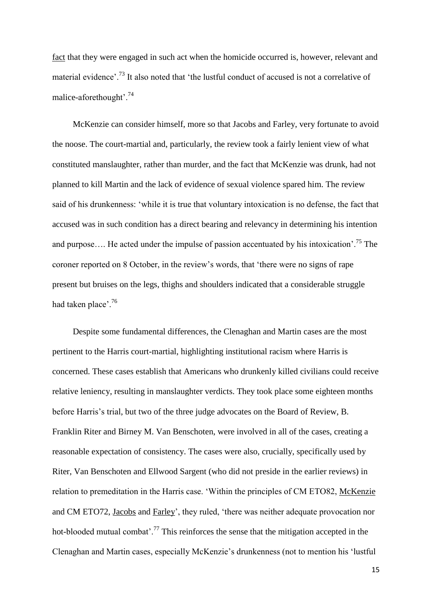fact that they were engaged in such act when the homicide occurred is, however, relevant and material evidence<sup>, 73</sup> It also noted that 'the lustful conduct of accused is not a correlative of malice-aforethought'.<sup>74</sup>

McKenzie can consider himself, more so that Jacobs and Farley, very fortunate to avoid the noose. The court-martial and, particularly, the review took a fairly lenient view of what constituted manslaughter, rather than murder, and the fact that McKenzie was drunk, had not planned to kill Martin and the lack of evidence of sexual violence spared him. The review said of his drunkenness: 'while it is true that voluntary intoxication is no defense, the fact that accused was in such condition has a direct bearing and relevancy in determining his intention and purpose.... He acted under the impulse of passion accentuated by his intoxication<sup>'75</sup> The coroner reported on 8 October, in the review's words, that 'there were no signs of rape present but bruises on the legs, thighs and shoulders indicated that a considerable struggle had taken place'.<sup>76</sup>

Despite some fundamental differences, the Clenaghan and Martin cases are the most pertinent to the Harris court-martial, highlighting institutional racism where Harris is concerned. These cases establish that Americans who drunkenly killed civilians could receive relative leniency, resulting in manslaughter verdicts. They took place some eighteen months before Harris's trial, but two of the three judge advocates on the Board of Review, B. Franklin Riter and Birney M. Van Benschoten, were involved in all of the cases, creating a reasonable expectation of consistency. The cases were also, crucially, specifically used by Riter, Van Benschoten and Ellwood Sargent (who did not preside in the earlier reviews) in relation to premeditation in the Harris case. 'Within the principles of CM ETO82, McKenzie and CM ETO72, Jacobs and Farley', they ruled, 'there was neither adequate provocation nor hot-blooded mutual combat'.<sup>77</sup> This reinforces the sense that the mitigation accepted in the Clenaghan and Martin cases, especially McKenzie's drunkenness (not to mention his 'lustful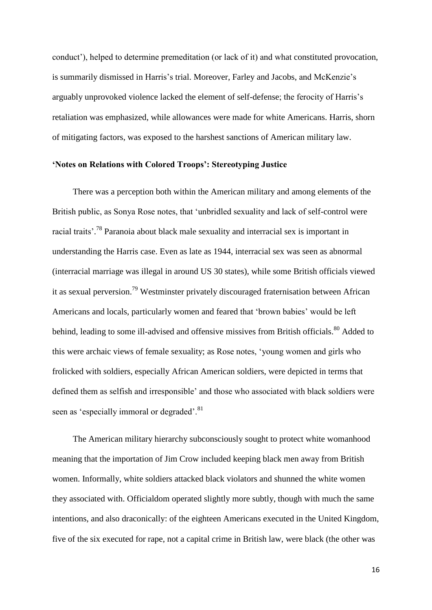conduct'), helped to determine premeditation (or lack of it) and what constituted provocation, is summarily dismissed in Harris's trial. Moreover, Farley and Jacobs, and McKenzie's arguably unprovoked violence lacked the element of self-defense; the ferocity of Harris's retaliation was emphasized, while allowances were made for white Americans. Harris, shorn of mitigating factors, was exposed to the harshest sanctions of American military law.

#### **'Notes on Relations with Colored Troops': Stereotyping Justice**

There was a perception both within the American military and among elements of the British public, as Sonya Rose notes, that 'unbridled sexuality and lack of self-control were racial traits'.<sup>78</sup> Paranoia about black male sexuality and interracial sex is important in understanding the Harris case. Even as late as 1944, interracial sex was seen as abnormal (interracial marriage was illegal in around US 30 states), while some British officials viewed it as sexual perversion.<sup>79</sup> Westminster privately discouraged fraternisation between African Americans and locals, particularly women and feared that 'brown babies' would be left behind, leading to some ill-advised and offensive missives from British officials.<sup>80</sup> Added to this were archaic views of female sexuality; as Rose notes, 'young women and girls who frolicked with soldiers, especially African American soldiers, were depicted in terms that defined them as selfish and irresponsible' and those who associated with black soldiers were seen as 'especially immoral or degraded'.<sup>81</sup>

The American military hierarchy subconsciously sought to protect white womanhood meaning that the importation of Jim Crow included keeping black men away from British women. Informally, white soldiers attacked black violators and shunned the white women they associated with. Officialdom operated slightly more subtly, though with much the same intentions, and also draconically: of the eighteen Americans executed in the United Kingdom, five of the six executed for rape, not a capital crime in British law, were black (the other was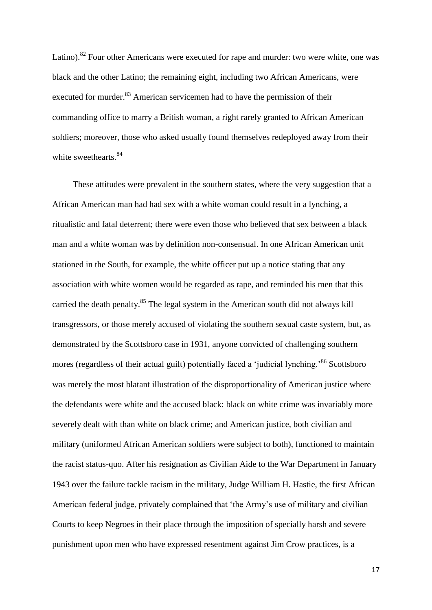Latino).<sup>82</sup> Four other Americans were executed for rape and murder: two were white, one was black and the other Latino; the remaining eight, including two African Americans, were executed for murder.<sup>83</sup> American servicemen had to have the permission of their commanding office to marry a British woman, a right rarely granted to African American soldiers; moreover, those who asked usually found themselves redeployed away from their white sweethearts.<sup>84</sup>

These attitudes were prevalent in the southern states, where the very suggestion that a African American man had had sex with a white woman could result in a lynching, a ritualistic and fatal deterrent; there were even those who believed that sex between a black man and a white woman was by definition non-consensual. In one African American unit stationed in the South, for example, the white officer put up a notice stating that any association with white women would be regarded as rape, and reminded his men that this carried the death penalty.<sup>85</sup> The legal system in the American south did not always kill transgressors, or those merely accused of violating the southern sexual caste system, but, as demonstrated by the Scottsboro case in 1931, anyone convicted of challenging southern mores (regardless of their actual guilt) potentially faced a 'judicial lynching.<sup>86</sup> Scottsboro was merely the most blatant illustration of the disproportionality of American justice where the defendants were white and the accused black: black on white crime was invariably more severely dealt with than white on black crime; and American justice, both civilian and military (uniformed African American soldiers were subject to both), functioned to maintain the racist status-quo. After his resignation as Civilian Aide to the War Department in January 1943 over the failure tackle racism in the military, Judge William H. Hastie, the first African American federal judge, privately complained that 'the Army's use of military and civilian Courts to keep Negroes in their place through the imposition of specially harsh and severe punishment upon men who have expressed resentment against Jim Crow practices, is a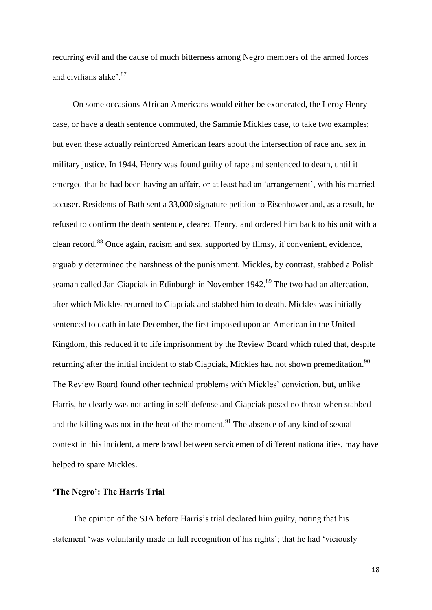recurring evil and the cause of much bitterness among Negro members of the armed forces and civilians alike<sup>, 87</sup>

On some occasions African Americans would either be exonerated, the Leroy Henry case, or have a death sentence commuted, the Sammie Mickles case, to take two examples; but even these actually reinforced American fears about the intersection of race and sex in military justice. In 1944, Henry was found guilty of rape and sentenced to death, until it emerged that he had been having an affair, or at least had an 'arrangement', with his married accuser. Residents of Bath sent a 33,000 signature petition to Eisenhower and, as a result, he refused to confirm the death sentence, cleared Henry, and ordered him back to his unit with a clean record.<sup>88</sup> Once again, racism and sex, supported by flimsy, if convenient, evidence, arguably determined the harshness of the punishment. Mickles, by contrast, stabbed a Polish seaman called Jan Ciapciak in Edinburgh in November 1942.<sup>89</sup> The two had an altercation, after which Mickles returned to Ciapciak and stabbed him to death. Mickles was initially sentenced to death in late December, the first imposed upon an American in the United Kingdom, this reduced it to life imprisonment by the Review Board which ruled that, despite returning after the initial incident to stab Ciapciak, Mickles had not shown premeditation.<sup>90</sup> The Review Board found other technical problems with Mickles' conviction, but, unlike Harris, he clearly was not acting in self-defense and Ciapciak posed no threat when stabbed and the killing was not in the heat of the moment.<sup>91</sup> The absence of any kind of sexual context in this incident, a mere brawl between servicemen of different nationalities, may have helped to spare Mickles.

### **'The Negro': The Harris Trial**

The opinion of the SJA before Harris's trial declared him guilty, noting that his statement 'was voluntarily made in full recognition of his rights'; that he had 'viciously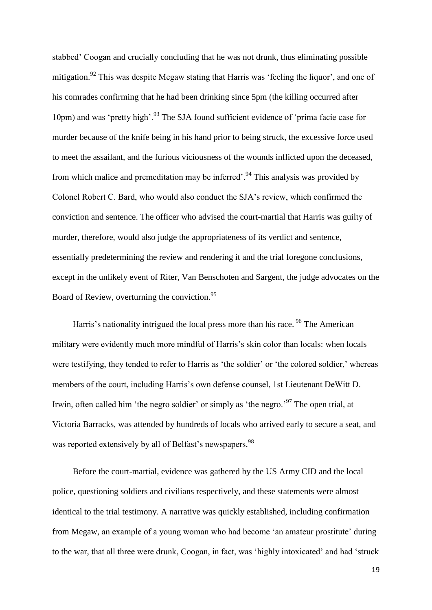stabbed' Coogan and crucially concluding that he was not drunk, thus eliminating possible mitigation.<sup>92</sup> This was despite Megaw stating that Harris was 'feeling the liquor', and one of his comrades confirming that he had been drinking since 5pm (the killing occurred after 10pm) and was 'pretty high'.<sup>93</sup> The SJA found sufficient evidence of 'prima facie case for murder because of the knife being in his hand prior to being struck, the excessive force used to meet the assailant, and the furious viciousness of the wounds inflicted upon the deceased, from which malice and premeditation may be inferred'.<sup>94</sup> This analysis was provided by Colonel Robert C. Bard, who would also conduct the SJA's review, which confirmed the conviction and sentence. The officer who advised the court-martial that Harris was guilty of murder, therefore, would also judge the appropriateness of its verdict and sentence, essentially predetermining the review and rendering it and the trial foregone conclusions, except in the unlikely event of Riter, Van Benschoten and Sargent, the judge advocates on the Board of Review, overturning the conviction.<sup>95</sup>

Harris's nationality intrigued the local press more than his race. <sup>96</sup> The American military were evidently much more mindful of Harris's skin color than locals: when locals were testifying, they tended to refer to Harris as 'the soldier' or 'the colored soldier,' whereas members of the court, including Harris's own defense counsel, 1st Lieutenant DeWitt D. Irwin, often called him 'the negro soldier' or simply as 'the negro.'<sup>97</sup> The open trial, at Victoria Barracks, was attended by hundreds of locals who arrived early to secure a seat, and was reported extensively by all of Belfast's newspapers.<sup>98</sup>

Before the court-martial, evidence was gathered by the US Army CID and the local police, questioning soldiers and civilians respectively, and these statements were almost identical to the trial testimony. A narrative was quickly established, including confirmation from Megaw, an example of a young woman who had become 'an amateur prostitute' during to the war, that all three were drunk, Coogan, in fact, was 'highly intoxicated' and had 'struck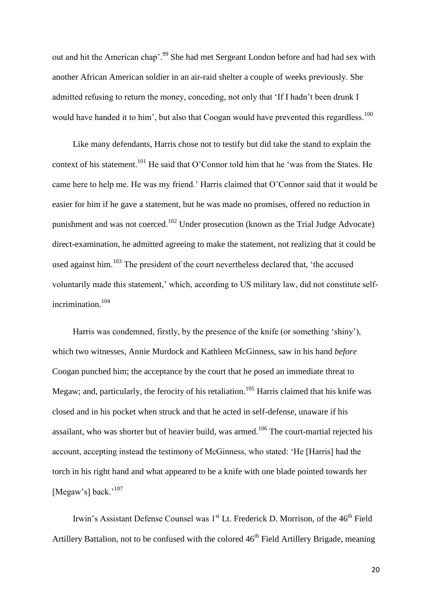out and hit the American chap'.<sup>99</sup> She had met Sergeant London before and had had sex with another African American soldier in an air-raid shelter a couple of weeks previously. She admitted refusing to return the money, conceding, not only that 'If I hadn't been drunk I would have handed it to him', but also that Coogan would have prevented this regardless.<sup>100</sup>

Like many defendants, Harris chose not to testify but did take the stand to explain the context of his statement.<sup>101</sup> He said that O'Connor told him that he 'was from the States. He came here to help me. He was my friend.' Harris claimed that O'Connor said that it would be easier for him if he gave a statement, but he was made no promises, offered no reduction in punishment and was not coerced.<sup>102</sup> Under prosecution (known as the Trial Judge Advocate) direct-examination, he admitted agreeing to make the statement, not realizing that it could be used against him.<sup>103</sup> The president of the court nevertheless declared that, 'the accused voluntarily made this statement,' which, according to US military law, did not constitute selfincrimination.<sup>104</sup>

Harris was condemned, firstly, by the presence of the knife (or something 'shiny'), which two witnesses, Annie Murdock and Kathleen McGinness, saw in his hand *before* Coogan punched him; the acceptance by the court that he posed an immediate threat to Megaw; and, particularly, the ferocity of his retaliation.<sup>105</sup> Harris claimed that his knife was closed and in his pocket when struck and that he acted in self-defense, unaware if his assailant, who was shorter but of heavier build, was armed.<sup>106</sup> The court-martial rejected his account, accepting instead the testimony of McGinness, who stated: 'He [Harris] had the torch in his right hand and what appeared to be a knife with one blade pointed towards her [Megaw's] back.<sup>'107</sup>

Irwin's Assistant Defense Counsel was 1<sup>st</sup> Lt. Frederick D. Morrison, of the 46<sup>th</sup> Field Artillery Battalion, not to be confused with the colored  $46<sup>th</sup>$  Field Artillery Brigade, meaning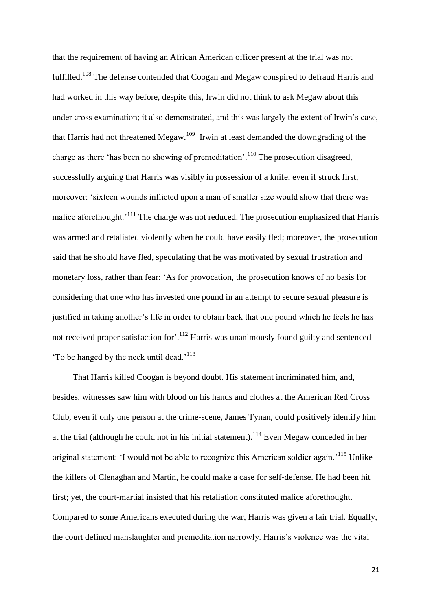that the requirement of having an African American officer present at the trial was not fulfilled.<sup>108</sup> The defense contended that Coogan and Megaw conspired to defraud Harris and had worked in this way before, despite this, Irwin did not think to ask Megaw about this under cross examination; it also demonstrated, and this was largely the extent of Irwin's case, that Harris had not threatened Megaw.<sup>109</sup> Irwin at least demanded the downgrading of the charge as there 'has been no showing of premeditation'.<sup>110</sup> The prosecution disagreed, successfully arguing that Harris was visibly in possession of a knife, even if struck first; moreover: 'sixteen wounds inflicted upon a man of smaller size would show that there was malice aforethought.<sup>'111</sup> The charge was not reduced. The prosecution emphasized that Harris was armed and retaliated violently when he could have easily fled; moreover, the prosecution said that he should have fled, speculating that he was motivated by sexual frustration and monetary loss, rather than fear: 'As for provocation, the prosecution knows of no basis for considering that one who has invested one pound in an attempt to secure sexual pleasure is justified in taking another's life in order to obtain back that one pound which he feels he has not received proper satisfaction for'.<sup>112</sup> Harris was unanimously found guilty and sentenced 'To be hanged by the neck until dead.'<sup>113</sup>

That Harris killed Coogan is beyond doubt. His statement incriminated him, and, besides, witnesses saw him with blood on his hands and clothes at the American Red Cross Club, even if only one person at the crime-scene, James Tynan, could positively identify him at the trial (although he could not in his initial statement).<sup>114</sup> Even Megaw conceded in her original statement: 'I would not be able to recognize this American soldier again.'<sup>115</sup> Unlike the killers of Clenaghan and Martin, he could make a case for self-defense. He had been hit first; yet, the court-martial insisted that his retaliation constituted malice aforethought. Compared to some Americans executed during the war, Harris was given a fair trial. Equally, the court defined manslaughter and premeditation narrowly. Harris's violence was the vital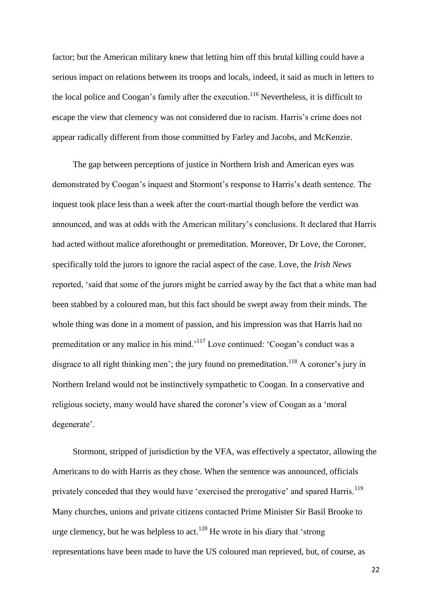factor; but the American military knew that letting him off this brutal killing could have a serious impact on relations between its troops and locals, indeed, it said as much in letters to the local police and Coogan's family after the execution.<sup>116</sup> Nevertheless, it is difficult to escape the view that clemency was not considered due to racism. Harris's crime does not appear radically different from those committed by Farley and Jacobs, and McKenzie.

The gap between perceptions of justice in Northern Irish and American eyes was demonstrated by Coogan's inquest and Stormont's response to Harris's death sentence. The inquest took place less than a week after the court-martial though before the verdict was announced, and was at odds with the American military's conclusions. It declared that Harris had acted without malice aforethought or premeditation. Moreover, Dr Love, the Coroner, specifically told the jurors to ignore the racial aspect of the case. Love, the *Irish News* reported, 'said that some of the jurors might be carried away by the fact that a white man had been stabbed by a coloured man, but this fact should be swept away from their minds. The whole thing was done in a moment of passion, and his impression was that Harris had no premeditation or any malice in his mind.'<sup>117</sup> Love continued: 'Coogan's conduct was a disgrace to all right thinking men'; the jury found no premeditation.<sup>118</sup> A coroner's jury in Northern Ireland would not be instinctively sympathetic to Coogan. In a conservative and religious society, many would have shared the coroner's view of Coogan as a 'moral degenerate'.

Stormont, stripped of jurisdiction by the VFA, was effectively a spectator, allowing the Americans to do with Harris as they chose. When the sentence was announced, officials privately conceded that they would have 'exercised the prerogative' and spared Harris.<sup>119</sup> Many churches, unions and private citizens contacted Prime Minister Sir Basil Brooke to urge clemency, but he was helpless to act.<sup>120</sup> He wrote in his diary that 'strong representations have been made to have the US coloured man reprieved, but, of course, as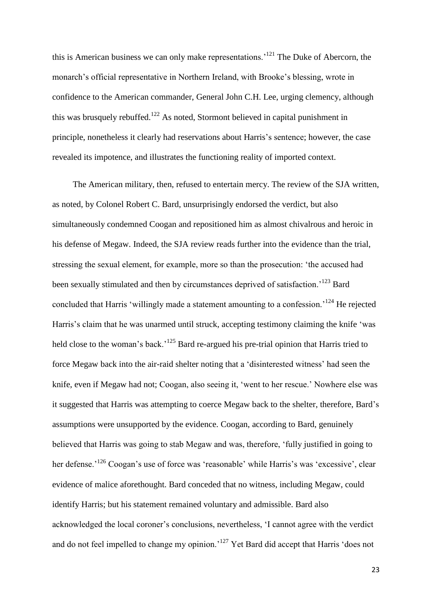this is American business we can only make representations.'<sup>121</sup> The Duke of Abercorn, the monarch's official representative in Northern Ireland, with Brooke's blessing, wrote in confidence to the American commander, General John C.H. Lee, urging clemency, although this was brusquely rebuffed.<sup>122</sup> As noted, Stormont believed in capital punishment in principle, nonetheless it clearly had reservations about Harris's sentence; however, the case revealed its impotence, and illustrates the functioning reality of imported context.

The American military, then, refused to entertain mercy. The review of the SJA written, as noted, by Colonel Robert C. Bard, unsurprisingly endorsed the verdict, but also simultaneously condemned Coogan and repositioned him as almost chivalrous and heroic in his defense of Megaw. Indeed, the SJA review reads further into the evidence than the trial, stressing the sexual element, for example, more so than the prosecution: 'the accused had been sexually stimulated and then by circumstances deprived of satisfaction.<sup>123</sup> Bard concluded that Harris 'willingly made a statement amounting to a confession.<sup>'124</sup> He rejected Harris's claim that he was unarmed until struck, accepting testimony claiming the knife 'was held close to the woman's back.<sup>'125</sup> Bard re-argued his pre-trial opinion that Harris tried to force Megaw back into the air-raid shelter noting that a 'disinterested witness' had seen the knife, even if Megaw had not; Coogan, also seeing it, 'went to her rescue.' Nowhere else was it suggested that Harris was attempting to coerce Megaw back to the shelter, therefore, Bard's assumptions were unsupported by the evidence. Coogan, according to Bard, genuinely believed that Harris was going to stab Megaw and was, therefore, 'fully justified in going to her defense.<sup>'126</sup> Coogan's use of force was 'reasonable' while Harris's was 'excessive', clear evidence of malice aforethought. Bard conceded that no witness, including Megaw, could identify Harris; but his statement remained voluntary and admissible. Bard also acknowledged the local coroner's conclusions, nevertheless, 'I cannot agree with the verdict and do not feel impelled to change my opinion.<sup>'127</sup> Yet Bard did accept that Harris 'does not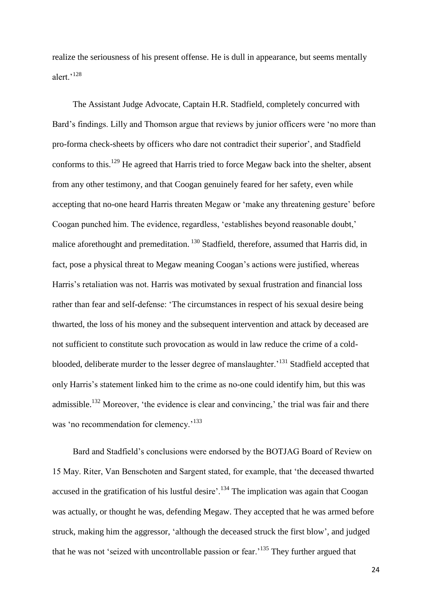realize the seriousness of his present offense. He is dull in appearance, but seems mentally alert<sup>,128</sup>

The Assistant Judge Advocate, Captain H.R. Stadfield, completely concurred with Bard's findings. Lilly and Thomson argue that reviews by junior officers were 'no more than pro-forma check-sheets by officers who dare not contradict their superior', and Stadfield conforms to this.<sup>129</sup> He agreed that Harris tried to force Megaw back into the shelter, absent from any other testimony, and that Coogan genuinely feared for her safety, even while accepting that no-one heard Harris threaten Megaw or 'make any threatening gesture' before Coogan punched him. The evidence, regardless, 'establishes beyond reasonable doubt,' malice aforethought and premeditation.<sup>130</sup> Stadfield, therefore, assumed that Harris did, in fact, pose a physical threat to Megaw meaning Coogan's actions were justified, whereas Harris's retaliation was not. Harris was motivated by sexual frustration and financial loss rather than fear and self-defense: 'The circumstances in respect of his sexual desire being thwarted, the loss of his money and the subsequent intervention and attack by deceased are not sufficient to constitute such provocation as would in law reduce the crime of a coldblooded, deliberate murder to the lesser degree of manslaughter.<sup>131</sup> Stadfield accepted that only Harris's statement linked him to the crime as no-one could identify him, but this was admissible.<sup>132</sup> Moreover, 'the evidence is clear and convincing,' the trial was fair and there was 'no recommendation for clemency.'<sup>133</sup>

Bard and Stadfield's conclusions were endorsed by the BOTJAG Board of Review on 15 May. Riter, Van Benschoten and Sargent stated, for example, that 'the deceased thwarted accused in the gratification of his lustful desire'.<sup>134</sup> The implication was again that Coogan was actually, or thought he was, defending Megaw. They accepted that he was armed before struck, making him the aggressor, 'although the deceased struck the first blow', and judged that he was not 'seized with uncontrollable passion or fear.'<sup>135</sup> They further argued that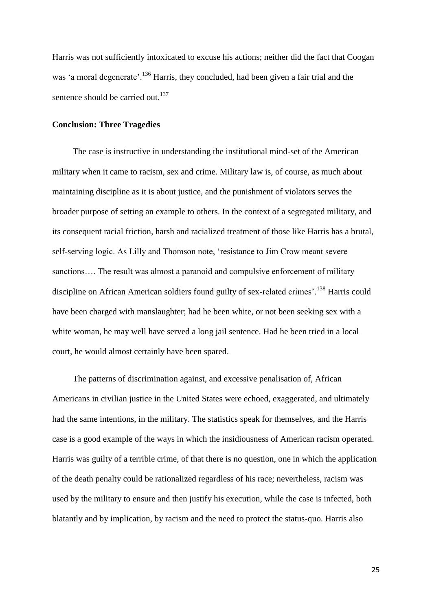Harris was not sufficiently intoxicated to excuse his actions; neither did the fact that Coogan was 'a moral degenerate'.<sup>136</sup> Harris, they concluded, had been given a fair trial and the sentence should be carried out.<sup>137</sup>

# **Conclusion: Three Tragedies**

The case is instructive in understanding the institutional mind-set of the American military when it came to racism, sex and crime. Military law is, of course, as much about maintaining discipline as it is about justice, and the punishment of violators serves the broader purpose of setting an example to others. In the context of a segregated military, and its consequent racial friction, harsh and racialized treatment of those like Harris has a brutal, self-serving logic. As Lilly and Thomson note, 'resistance to Jim Crow meant severe sanctions.... The result was almost a paranoid and compulsive enforcement of military discipline on African American soldiers found guilty of sex-related crimes'.<sup>138</sup> Harris could have been charged with manslaughter; had he been white, or not been seeking sex with a white woman, he may well have served a long jail sentence. Had he been tried in a local court, he would almost certainly have been spared.

The patterns of discrimination against, and excessive penalisation of, African Americans in civilian justice in the United States were echoed, exaggerated, and ultimately had the same intentions, in the military. The statistics speak for themselves, and the Harris case is a good example of the ways in which the insidiousness of American racism operated. Harris was guilty of a terrible crime, of that there is no question, one in which the application of the death penalty could be rationalized regardless of his race; nevertheless, racism was used by the military to ensure and then justify his execution, while the case is infected, both blatantly and by implication, by racism and the need to protect the status-quo. Harris also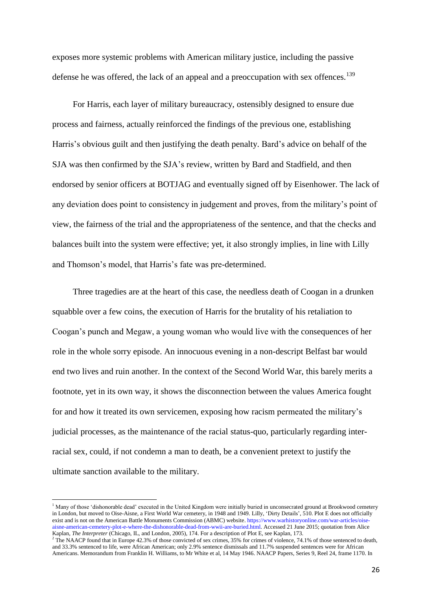exposes more systemic problems with American military justice, including the passive defense he was offered, the lack of an appeal and a preoccupation with sex offences.<sup>139</sup>

For Harris, each layer of military bureaucracy, ostensibly designed to ensure due process and fairness, actually reinforced the findings of the previous one, establishing Harris's obvious guilt and then justifying the death penalty. Bard's advice on behalf of the SJA was then confirmed by the SJA's review, written by Bard and Stadfield, and then endorsed by senior officers at BOTJAG and eventually signed off by Eisenhower. The lack of any deviation does point to consistency in judgement and proves, from the military's point of view, the fairness of the trial and the appropriateness of the sentence, and that the checks and balances built into the system were effective; yet, it also strongly implies, in line with Lilly and Thomson's model, that Harris's fate was pre-determined.

Three tragedies are at the heart of this case, the needless death of Coogan in a drunken squabble over a few coins, the execution of Harris for the brutality of his retaliation to Coogan's punch and Megaw, a young woman who would live with the consequences of her role in the whole sorry episode. An innocuous evening in a non-descript Belfast bar would end two lives and ruin another. In the context of the Second World War, this barely merits a footnote, yet in its own way, it shows the disconnection between the values America fought for and how it treated its own servicemen, exposing how racism permeated the military's judicial processes, as the maintenance of the racial status-quo, particularly regarding interracial sex, could, if not condemn a man to death, be a convenient pretext to justify the ultimate sanction available to the military.

**.** 

<sup>&</sup>lt;sup>1</sup> Many of those 'dishonorable dead' executed in the United Kingdom were initially buried in unconsecrated ground at Brookwood cemetery in London, but moved to Oise-Aisne, a First World War cemetery, in 1948 and 1949. Lilly, 'Dirty Details', 510. Plot E does not officially exist and is not on the American Battle Monuments Commission (ABMC) website[. https://www.warhistoryonline.com/war-articles/oise](https://www.warhistoryonline.com/war-articles/oise-aisne-american-cemetery-plot-e-where-the-dishonorable-dead-from-wwii-are-buried.html)[aisne-american-cemetery-plot-e-where-the-dishonorable-dead-from-wwii-are-buried.html.](https://www.warhistoryonline.com/war-articles/oise-aisne-american-cemetery-plot-e-where-the-dishonorable-dead-from-wwii-are-buried.html) Accessed 21 June 2015; quotation from Alice Kaplan, *The Interpreter* (Chicago, IL, and London, 2005), 174. For a description of Plot E, see Kaplan, 173.

 $2$ <sup>2</sup> The NAACP found that in Europe 42.3% of those convicted of sex crimes, 35% for crimes of violence, 74.1% of those sentenced to death, and 33.3% sentenced to life, were African American; only 2.9% sentence dismissals and 11.7% suspended sentences were for African Americans. Memorandum from Franklin H. Williams, to Mr White et al, 14 May 1946. NAACP Papers, Series 9, Reel 24, frame 1170. In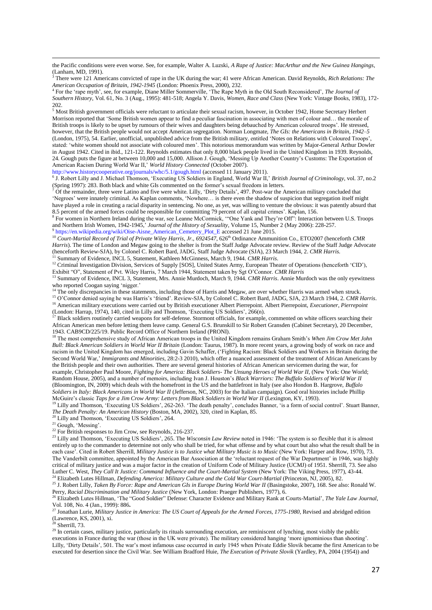the Pacific conditions were even worse. See, for example, Walter A. Luzski, *A Rape of Justice: MacArthur and the New Guinea Hangings*, (Lanham, MD, 1991).

<sup>3</sup> There were 121 Americans convicted of rape in the UK during the war; 41 were African American. David Reynolds, *Rich Relations: The American Occupation of Britain, 1942-1945* (London: Phoenix Press, 2000), 232.

4 For the 'rape myth', see, for example, Diane Miller Sommerville, 'The Rape Myth in the Old South Reconsidered', *The Journal of Southern History*, Vol. 61, No. 3 (Aug., 1995): 481-518; Angela Y. Davis, *Women, Race and Class* (New York: Vintage Books, 1983), 172- 202.

<sup>5</sup> Most British government officials were reluctant to articulate their sexual racism, however, in October 1942, Home Secretary Herbert Morrison reported that 'Some British women appear to find a peculiar fascination in associating with men of colour and… the morale of British troops is likely to be upset by rumours of their wives and daughters being debauched by American coloured troops'. He stressed, however, that the British people would not accept American segregation. Norman Longmate, *The GIs: the Americans in Britain*, *1942–5* (London, 1975), 54. Earlier, unofficial, unpublished advice from the British military, entitled 'Notes on Relations with Coloured Troops', stated: 'white women should not associate with coloured men'. This notorious memorandum was written by Major-General Arthur Dowler in August 1942. Cited in ibid., 121-122. Reynolds estimates that only 8,000 black people lived in the United Kingdom in 1939. Reynolds, 24. Gough puts the figure at between 10,000 and 15,000. Allison J. Gough, 'Messing Up Another Country's Customs: The Exportation of American Racism During World War II,' *World History Connected* (October 2007).

<http://www.historycooperative.org/journals/whc/5.1/gough.html> (accessed 11 January 2011).<br><sup>6</sup> J. Robert Lilly and J. Michael Thomson, 'Executing US Soldiers in England, World War II,' *British Journal of Criminology*, vol. (Spring 1997): 283. Both black and white GIs commented on the former's sexual freedom in letters.

<sup>7</sup> Of the remainder, three were Latino and five were white. Lilly, 'Dirty Details', 497. Post-war the American military concluded that 'Negroes' were innately criminal. As Kaplan comments, 'Nowhere… is there even the shadow of suspicion that segregation itself might have played a role in creating a racial disparity in sentencing. No one, as yet, was willing to venture the obvious: it was patently absurd that 8.5 percent of the armed forces could be responsible for committing 79 percent of all capital crimes'. Kaplan, 156.

<sup>8</sup> For women in Northern Ireland during the war, see Leanne McCormick, "One Yank and They're Off": Interaction between U.S. Troops and Northern Irish Women, 1942-1945,' *Journal of the History of Sexuality*, Volume 15, Number 2 (May 2006): 228-257. <sup>9</sup> [https://en.wikipedia.org/wiki/Oise-Aisne\\_American\\_Cemetery\\_Plot\\_E](https://en.wikipedia.org/wiki/Oise-Aisne_American_Cemetery_Plot_E) accessed 21 June 2015.

<sup>10</sup> *Court-Martial Record of Trial of Private Wiley Harris, Jr., 6924547*, 626th Ordinance Ammunition Co., ETO2007 (henceforth *CMR* 

*Harris*). The time of London and Megaw going to the shelter is from the Staff Judge Advocate review. Review of the Staff Judge Advocate (henceforth Review-SJA), by Colonel C. Robert Bard, JADG, Staff Judge Advocate (SJA), 23 March 1944, 2. *CMR Harris*.

<sup>11</sup> Summary of Evidence, INCL 5, Statement, Kathleen McGinness, March 9, 1944. *CMR Harris*.

<sup>12</sup> Criminal Investigation Division, Services of Supply [SOS], United States Army, European Theater of Operations (henceforth 'CID'), Exhibit "O", Statement of Pvt. Wiley Harris, 7 March 1944, Statement taken by Sgt O'Connor. *CMR Harris*

<sup>13</sup> Summary of Evidence, INCL 3, Statement, Mrs. Annie Murdoch, March 9, 1944. *CMR Harris*. Annie Murdoch was the only eyewitness who reported Coogan saying 'nigger.'

<sup>14</sup> The only discrepancies in these statements, including those of Harris and Megaw, are over whether Harris was armed when struck.

<sup>15</sup> O'Connor denied saying he was Harris's 'friend'. Review-SJA, by Colonel C. Robert Bard, JADG, SJA, 23 March 1944, 2. *CMR Harris*. <sup>16</sup> American military executions were carried out by British executioner Albert Pierrepoint. Albert Pierrepoint, *Executioner, Pierrepoint* (London: Harrap, 1974), 140, cited in Lilly and Thomson, 'Executing US Soldiers', 266(n).

<sup>17</sup> Black soldiers routinely carried weapons for self-defense. Stormont officials, for example, commented on white officers searching their African American men before letting them leave camp. General G.S. Brunskill to Sir Robert Gransden (Cabinet Secretary), 20 December, 1943. CAB9CD/225/19. Public Record Office of Northern Ireland (PRONI).

<sup>18</sup> The most comprehensive study of African American troops in the United Kingdom remains Graham Smith's *When Jim Crow Met John Bull: Black American Soldiers in World War II Britain* (London: Taurus, 1987). In more recent years, a growing body of work on race and racism in the United Kingdom has emerged, including Gavin Schaffer, ('Fighting Racism: Black Soldiers and Workers in Britain during the Second World War,' *Immigrants and Minorities*, 28:2-3 2010), which offer a nuanced assessment of the treatment of African Americans by the British people and their own authorities. There are several general histories of African American servicemen during the war, for example, Christopher Paul Moore, *Fighting for America: Black Soldiers- The Unsung Heroes of World War II*, (New York: One World; Random House, 2005)*,* and a number of memoirs, including Ivan J. Houston's *Black Warriors: The Buffalo Soldiers of World War II* (Bloomington, IN, 2009) which deals with the homefront in the US and the battlefront in Italy (see also Hondon B. Hargrove, *Buffalo Soldiers in Italy: Black Americans in World War II* (Jefferson, NC, 2003) for the Italian campaign). Good oral histories include Phillip McGuire's classic *Taps for a Jim Crow Army: Letters from Black Soldiers in World War II* (Lexington, KY, 1993).

<sup>19</sup> Lilly and Thomson, 'Executing US Soldiers', 262-263. 'The death penalty', concludes Banner, 'is a form of social control'. Stuart Banner, *The Death Penalty: An American History* (Boston, MA, 2002), 320, cited in Kaplan, 85.

<sup>20</sup> Lilly and Thomson, 'Executing US Soldiers', 264.

<sup>21</sup> Gough, 'Messing'.

1

 $22$  For British responses to Jim Crow, see Reynolds, 216-237.

<sup>23</sup> Lilly and Thomson, 'Executing US Soldiers', 265. The *Wisconsin Law Review* noted in 1946: 'The system is so flexible that it is almost entirely up to the commander to determine not only who shall be tried, for what offense and by what court but also what the result shall be in each case'. Cited in Robert Sherrill, *Military Justice is to Justice what Military Music is to Music* (New York: Harper and Row, 1970), 73. The Vanderbilt committee, appointed by the American Bar Association at the 'reluctant request of the War Department' in 1946, was highly critical of military justice and was a major factor in the creation of Uniform Code of Military Justice (UCMJ) of 1951. Sherrill, 73. See also Luther C. West, *They Call It Justice: Command Influence and the Court-Martial System* (New York: The Viking Press, 1977), 43-44. <sup>24</sup> Elizabeth Lutes Hillman, *Defending America: Military Culture and the Cold War Court-Martial* (Princeton, NJ, 2005), 82.

<sup>25</sup> J. Robert Lilly, *Taken By Force: Rape and American GIs in Europe During World War II* (Basingstoke, 2007), 168. See also: Ronald W. Perry, *Racial Discrimination and Military Justice* (New York, London: Praeger Publishers, 1977), 6.

<sup>26</sup> Elizabeth Lutes Hillman, 'The "Good Soldier" Defense: Character Evidence and Military Rank at Courts-Martial', *The Yale Law Journal*, Vol. 108, No. 4 (Jan., 1999): 886**.**

<sup>27</sup> Jonathan Lurie, *Military Justice in America: The US Court of Appeals for the Armed Forces, 1775-1980*, Revised and abridged edition (Lawrence, KS, 2001), xi.

 $28$  Sherrill, 73.

<sup>29</sup> In certain cases, military justice, particularly its rituals surrounding execution, are reminiscent of lynching, most visibly the public executions in France during the war (those in the UK were private). The military considered hanging 'more ignominious than shooting'. Lilly, 'Dirty Details', 501. The war's most infamous case occurred in early 1945 when Private Eddie Slovik became the first American to be executed for desertion since the Civil War. See William Bradford Huie, *The Execution of Private Slovik* (Yardley, PA, 2004 (1954)) and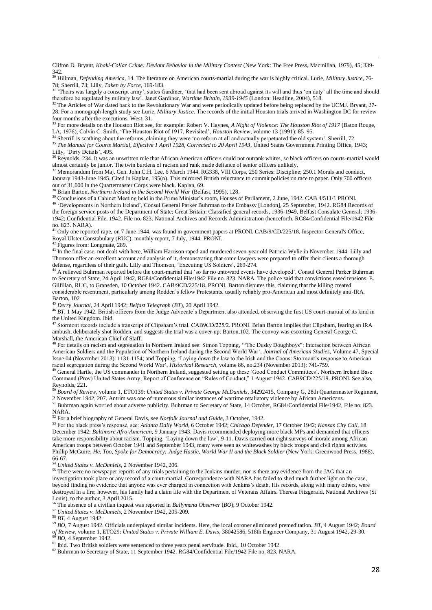Clifton D. Bryant, *Khaki-Collar Crime: Deviant Behavior in the Military Context* (New York: The Free Press, Macmillan, 1979), 45; 339- 342.

<sup>30</sup> Hillman*, Defending America*, 14. The literature on American courts-martial during the war is highly critical. Lurie, *Military Justice*, 76- 78; Sherrill, 73; Lilly, *Taken by Force*, 169-183.

<sup>31</sup> 'Theirs was largely a conscript army', states Gardiner, 'that had been sent abroad against its will and thus 'on duty' all the time and should therefore be regulated by military law'. Janet Gardiner, *Wartime Britain, 1939-1945* (London: Headline, 2004), 518.

<sup>32</sup> The Articles of War dated back to the Revolutionary War and were periodically updated before being replaced by the UCMJ. Bryant, 27-28. For a monograph-length study see Lurie, *Military Justice*. The records of the initial Houston trials arrived in Washington DC for review four months after the executions. West, 31.

<sup>33</sup> For more details on the Houston Riot see, for example: Robert V. Haynes, *A Night of Violence: The Houston Riot of 1917* (Baton Rouge, LA, 1976); Calvin C. Smith, 'The Houston Riot of 1917, Revisited', *Houston Review*, volume 13 (1991): 85–95.

<sup>34</sup> Sherrill is scathing about the reforms, claiming they were 'no reform at all and actually perpetuated the old system'. Sherrill, 72. <sup>35</sup> The Manual for Courts Martial, Effective 1 April 1928, Corrected to 20 April 1943, United States Government Printing Office, 1943;

Lilly, 'Dirty Details', 495.

1

<sup>36</sup> Reynolds, 234. It was an unwritten rule that African American officers could not outrank whites, so black officers on courts-martial would almost certainly be junior. The twin burdens of racism and rank made defiance of senior officers unlikely.

<sup>37</sup> Memorandum from Maj. Gen. John C.H. Lee, 6 March 1944. RG338, VIII Corps, 250 Series: Discipline; 250.1 Morals and conduct, January 1943-June 1945. Cited in Kaplan, 195(n). This mirrored British reluctance to commit policies on race to paper. Only 700 officers out of 31,000 in the Quartermaster Corps were black. Kaplan, 69.

<sup>3</sup> Brian Barton, *Northern Ireland in the Second World War* (Belfast, 1995), 128.

<sup>39</sup> Conclusions of a Cabinet Meeting held in the Prime Minister's room, Houses of Parliament, 2 June, 1942. CAB 4/511/1 PRONI. <sup>40</sup> 'Developments in Northern Ireland', Consul General Parker Buhrman to the Embassy [London], 25 September, 1942. RG84 Records of the foreign service posts of the Department of State; Great Britain: Classified general records, 1936-1949, Belfast Consulate General; 1936- 1942; Confidential File, 1942, File no. 823. National Archives and Records Administration (henceforth, RG84/Confidential File/1942 File no. 823. NARA).

 $^{41}$  Only one reported rape, on 7 June 1944, was found in government papers at PRONI. CAB/9/CD/225/18, Inspector General's Office, Royal Ulster Constabulary (RUC), monthly report, 7 July, 1944. PRONI.

<sup>2</sup> Figures from: Longmate, 289

<sup>43</sup> In the final case, not dealt with here, William Harrison raped and murdered seven-year old Patricia Wylie in November 1944. Lilly and Thomson offer an excellent account and analysis of it, demonstrating that some lawyers were prepared to offer their clients a thorough defense, regardless of their guilt. Lilly and Thomson, 'Executing US Soldiers', 269-274.

<sup>44</sup> A relieved Buhrman reported before the court-martial that 'so far no untoward events have developed'. Consul General Parker Buhrman to Secretary of State, 24 April 1942, RG84/Confidential File/1942 File no. 823. NARA. The police said that convictions eased tensions. E. Gilfillan, RUC, to Gransden, 10 October 1942. CAB/9CD/225/18. PRONI. Barton disputes this, claiming that the killing created considerable resentment, particularly among Rodden's fellow Protestants, usually reliably pro-American and most definitely anti-IRA. Barton, 102

<sup>45</sup> *Derry Journal*, 24 April 1942; *Belfast Telegraph* (*BT*), 20 April 1942.

<sup>46</sup> BT, 1 May 1942. British officers from the Judge Advocate's Department also attended, observing the first US court-martial of its kind in the United Kingdom. Ibid.

<sup>47</sup> Stormont records include a transcript of Clipsham's trial. CAB9CD/225/2. PRONI. Brian Barton implies that Clipsham, fearing an IRA ambush, deliberately shot Rodden, and suggests the trial was a cover-up. Barton,102. The convoy was escorting General George C. Marshall, the American Chief of Staff.

<sup>48</sup> For details on racism and segregation in Northern Ireland see: Simon Topping, '"The Dusky Doughboys": Interaction between African American Soldiers and the Population of Northern Ireland during the Second World War', *Journal of American Studies*, Volume 47, Special Issue 04 (November 2013): 1131-1154; and Topping, 'Laying down the law to the Irish and the Coons: Stormont's response to American racial segregation during the Second World War', *Historical Research*, volume 86, no.234 (November 2013): 741-759.

<sup>49</sup> General Hartle, the US commander in Northern Ireland, suggested setting up these 'Good Conduct Committees'. Northern Ireland Base Command (Prov) United States Army; Report of Conference on "Rules of Conduct," 1 August 1942. CAB9CD/225/19. PRONI. See also, Reynolds, 221.

<sup>50</sup> *Board of Review*, volume 1, ETO139: *United States v. Private George McDaniels*, 34292415, Company G, 28th Quartermaster Regiment, 2 November 1942, 207. Antrim was one of numerous similar instances of wartime retaliatory violence by African Americans.

<sup>51</sup> Buhrman again worried about adverse publicity. Buhrman to Secretary of State, 14 October, RG84/Confidential File/1942, File no. 823. NARA.

<sup>52</sup> For a brief biography of General Davis, see *Norfolk Journal and Guide*, 3 October, 1942.

<sup>53</sup> For the black press's response, see: *Atlanta Daily World*, 6 October 1942; *Chicago Defender*, 17 October 1942; *Kansas City Call*, 18 December 1942; *Baltimore Afro-American*, 9 January 1943. Davis recommended deploying more black MPs and demanded that officers take more responsibility about racism. Topping, 'Laying down the law', 9-11. Davis carried out eight surveys of morale among African American troops between October 1941 and September 1943, many were seen as whitewashes by black troops and civil rights activists. Phillip McGuire, *He, Too, Spoke for Democracy: Judge Hastie, World War II and the Black Soldier* (New York: Greenwood Press, 1988),  $66-67.$ 

<sup>54</sup> *United States v. McDaniels*, 2 November 1942, 206.

<sup>55</sup> There were no newspaper reports of any trials pertaining to the Jenkins murder, nor is there any evidence from the JAG that an investigation took place or any record of a court-martial. Correspondence with NARA has failed to shed much further light on the case, beyond finding no evidence that anyone was ever charged in connection with Jenkins's death. His records, along with many others, were destroyed in a fire; however, his family had a claim file with the Department of Veterans Affairs. Theresa Fitzgerald, National Archives (St Louis), to the author, 3 April 2015.

<sup>56</sup> The absence of a civilian inquest was reported in *Ballymena Observer* (*BO*), 9 October 1942.

<sup>57</sup> *United States v. McDaniels*, 2 November 1942, 205-209.

<sup>58</sup> *BT*, 4 August 1942.

<sup>59</sup> *BO*, 7 August 1942. Officials underplayed similar incidents. Here, the local coroner eliminated premeditation. *BT*, 4 August 1942; *Board of Review*, volume 1, ETO29: *United States v. Private William E. Davis*, 38042586, 518th Engineer Company, 31 August 1942, 29-30.

<sup>60</sup> *BO*, 4 September 1942.

 $\frac{61}{61}$  Ibid. Two British soldiers were sentenced to three years penal servitude. Ibid., 10 October 1942.

<sup>62</sup> Buhrman to Secretary of State, 11 September 1942. RG84/Confidential File/1942 File no. 823. NARA.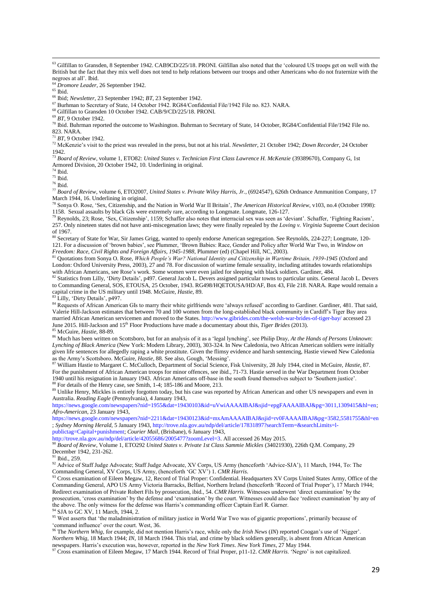<sup>63</sup> Gilfillan to Gransden, 8 September 1942. CAB9CD/225/18. PRONI. Gilfillan also noted that the 'coloured US troops get on well with the British but the fact that they mix well does not tend to help relations between our troops and other Americans who do not fraternize with the negroes at all'. Ibid.

<sup>64</sup> *Dromore Leader*, 26 September 1942.

 $65$  Ibid.

1

<sup>66</sup> Ibid; *Newsletter*, 23 September 1942; *BT*, 23 September 1942.

<sup>67</sup> Burhman to Secretary of State, 14 October 1942. RG84/Confidential File/1942 File no. 823. NARA.

<sup>68</sup> Gilfillan to Gransden 10 October 1942. CAB/9/CD/225/18. PRONI.

<sup>69</sup> *BT*, 9 October 1942.

<sup>70</sup> Ibid. Buhrman reported the outcome to Washington. Buhrman to Secretary of State, 14 October, RG84/Confidential File/1942 File no. 823. NARA.

<sup>71</sup> *BT*, 9 October 1942.

<sup>72</sup> McKenzie's visit to the priest was revealed in the press, but not at his trial. *Newsletter*, 21 October 1942; *Down Recorder*, 24 October 1942.

<sup>73</sup> *Board of Review*, volume 1, ETO82: *United States v. Technician First Class Lawrence H. McKenzie* (39389670), Company G, 1st Armored Division, 20 October 1942, 10. Underlining in original.

<sup>74</sup> Ibid.

 $75$  Ibid.

 $^{76}$ Ibid.

<sup>77</sup> *Board of Review*, volume 6, ETO2007, *United States v. Private Wiley Harris, Jr.*, (6924547), 626th Ordnance Ammunition Company, 17 March 1944, 16. Underlining in original.

<sup>78</sup> Sonya O. Rose, 'Sex, Citizenship, and the Nation in World War II Britain', *The American Historical Review*, v103, no.4 (October 1998): 1158. Sexual assaults by black GIs were extremely rare, according to Longmate. Longmate, 126-127.

 $^{79}$  Reynolds, 23; Rose, 'Sex, Citizenship', 1159; Schaffer also notes that interracial sex was seen as 'deviant'. Schaffer, 'Fighting Racism', 257. Only nineteen states did not have anti-miscegenation laws; they were finally repealed by the *Loving v. Virginia* Supreme Court decision of 1967.

80 Secretary of State for War, Sir James Grigg, wanted to openly endorse American segregation. See Reynolds, 224-227; Longmate, 120-121. For a discussion of 'brown babies', see Plummer, 'Brown Babies: Race, Gender and Policy after World War Two, in *Window on Freedom: Race, Civil Rights and Foreign Affairs, 1945-1988*, Plummer (ed) (Chapel Hill, NC, 2003).

<sup>81</sup> Quotations from Sonya O. Rose, *Which People's War? National Identity and Citizenship in Wartime Britain, 1939-1945* (Oxford and London: Oxford University Press, 2003), 27 and 78. For discussion of wartime female sexuality, including attitudes towards relationships with African Americans, see Rose's work. Some women were even jailed for sleeping with black soldiers. Gardiner, 484.

<sup>82</sup> Statistics from Lilly, 'Dirty Details', p497. General Jacob L. Devers assigned particular towns to particular units. General Jacob L. Devers to Commanding General, SOS, ETOUSA, 25 October, 1943. RG498/HQETOUSA/HD/AF, Box 43, File 218. NARA. Rape would remain a capital crime in the US military until 1948. McGuire, *Hastie*, 89.

<sup>83</sup> Lilly, 'Dirty Details', p497.

84 Requests of African American GIs to marry their white girlfriends were 'always refused' according to Gardiner. Gardiner, 481. That said, Valerie Hill-Jackson estimates that between 70 and 100 women from the long-established black community in Cardiff's Tiger Bay area married African American servicemen and moved to the States[. http://www.gibrides.com/the-welsh-war-brides-of-tiger-bay/](http://www.gibrides.com/the-welsh-war-brides-of-tiger-bay/) accessed 23 June 2015. Hill-Jackson and 15th Floor Productions have made a documentary about this, *Tiger Brides* (2013). <sup>85</sup> McGuire, *Hastie*, 88-89.

<sup>86</sup> Much has been written on Scottsboro, but for an analysis of it as a 'legal lynching', see Philip Dray, *At the Hands of Persons Unknown*: *Lynching of Black America* (New York: Modern Library, 2003), 303-324. In New Caledonia, two African American soldiers were initially given life sentences for allegedly raping a white prostitute. Given the flimsy evidence and harsh sentencing, Hastie viewed New Caledonia as the Army's Scottsboro. McGuire, *Hastie*, 88. See also, Gough, 'Messing'.

<sup>87</sup> William Hastie to Margaret C. McCulloch, Department of Social Science, Fisk University, 28 July 1944, cited in McGuire, *Hastie*, 87. For the punishment of African American troops for minor offences, see ibid., 71-73. Hastie served in the War Department from October 1940 until his resignation in January 1943. African Americans off-base in the south found themselves subject to 'Southern justice'. <sup>88</sup> For details of the Henry case, see Smith, 1-4; 185-186 and Moore, 213.

<sup>89</sup> Unlike Henry, Mickles is entirely forgotten today, but his case was reported by African American and other US newspapers and even in Australia. *Reading Eagle* (Pennsylvania), 4 January 1943,

[https://news.google.com/newspapers?nid=1955&dat=19430103&id=uVwiAAAAIBAJ&sjid=epgFAAAAIBAJ&pg=3011,1309415&hl=en;](https://news.google.com/newspapers?nid=1955&dat=19430103&id=uVwiAAAAIBAJ&sjid=epgFAAAAIBAJ&pg=3011,1309415&hl=en) *Afro-American*, 23 January 1943,

<https://news.google.com/newspapers?nid=2211&dat=19430123&id=mxAmAAAAIBAJ&sjid=rv0FAAAAIBAJ&pg=3582,5581755&hl=en> ; *Sydney Morning Herald,* 5 January 1943[, http://trove.nla.gov.au/ndp/del/article/17831897?searchTerm=&searchLimits=l](http://trove.nla.gov.au/ndp/del/article/17831897?searchTerm=&searchLimits=l-publictag=Capital+punishment)[publictag=Capital+punishment;](http://trove.nla.gov.au/ndp/del/article/17831897?searchTerm=&searchLimits=l-publictag=Capital+punishment) *Courier Mail*, (Brisbane), 6 January 1943,

[http://trove.nla.gov.au/ndp/del/article/42055686/2005477?zoomLevel=3.](http://trove.nla.gov.au/ndp/del/article/42055686/2005477?zoomLevel=3) All accessed 26 May 2015.

<sup>90</sup> *Board of Review*, Volume 1, ETO292 *United States v. Private 1st Class Sammie Mickles* (34021930), 226th Q.M. Company, 29 December 1942, 231-262.

<sup>91</sup> Ibid., 259.

<sup>92</sup> Advice of Staff Judge Advocate; Staff Judge Advocate, XV Corps, US Army (henceforth 'Advice-SJA'), 11 March, 1944, To: The Commanding General, XV Corps, US Army, (henceforth 'GC XV') 1. *CMR Harris*.

93 Cross examination of Eileen Megaw, 12, Record of Trial Proper: Confidential. Headquarters XV Corps United States Army, Office of the Commanding General, APO US Army Victoria Barracks, Belfast, Northern Ireland (henceforth 'Record of Trial Proper'), 17 March 1944; Redirect examination of Private Robert Fils by prosecution, ibid., 54. *CMR Harris*. Witnesses underwent 'direct examination' by the prosecution, 'cross examination' by the defense and 'examination' by the court. Witnesses could also face 'redirect examination' by any of the above. The only witness for the defense was Harris's commanding officer Captain Earl R. Garner.

 $^{94}$  SJA to GC XV, 11 March, 1944, 2.

<sup>95</sup> West asserts that 'the maladministration of military justice in World War Two was of gigantic proportions', primarily because of 'command influence' over the court. West, 36.

<sup>96</sup> The *Northern Whig*, for example, did not mention Harris's race, while only the *Irish News* (*IN*) reported Coogan's use of 'Nigger'. *Northern Whig*, 18 March 1944; *IN*, 18 March 1944. This trial, and crime by black soldiers generally, is absent from African American newspapers. Harris's execution was, however, reported in the *New York Times*. *New York Times*, 27 May 1944.

<sup>97</sup> Cross examination of Eileen Megaw, 17 March 1944. Record of Trial Proper, p11-12. *CMR Harris*. 'Negro' is not capitalized.